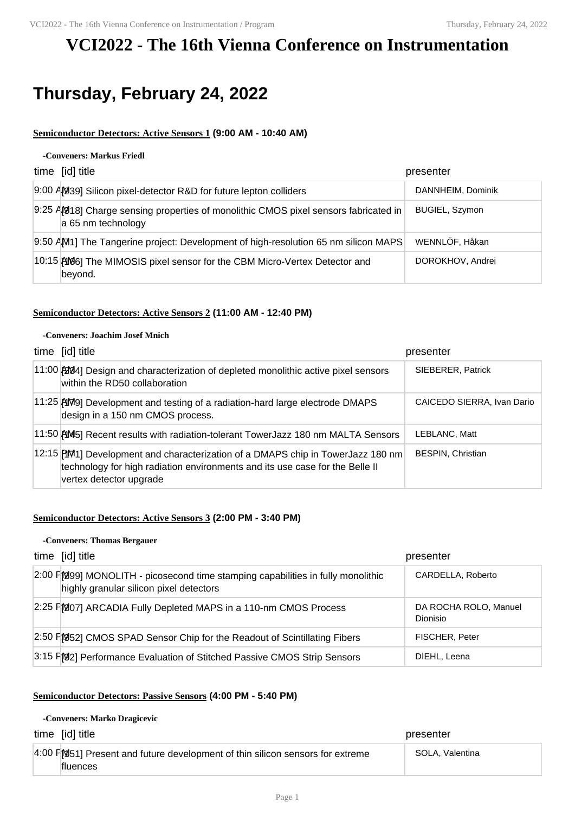## **VCI2022 - The 16th Vienna Conference on Instrumentation**

# **Thursday, February 24, 2022**

## **Semiconductor Detectors: Active Sensors 1 (9:00 AM - 10:40 AM)**

#### **-Conveners: Markus Friedl**

| time [id] title                                                                                             | presenter             |
|-------------------------------------------------------------------------------------------------------------|-----------------------|
| 9:00 AM39] Silicon pixel-detector R&D for future lepton colliders                                           | DANNHEIM, Dominik     |
| 9:25 AM1818] Charge sensing properties of monolithic CMOS pixel sensors fabricated in<br>a 65 nm technology | <b>BUGIEL, Szymon</b> |
| 9:50 AM1] The Tangerine project: Development of high-resolution 65 nm silicon MAPS                          | WENNLÖF, Håkan        |
| 10:15 AM6] The MIMOSIS pixel sensor for the CBM Micro-Vertex Detector and<br>beyond.                        | DOROKHOV, Andrei      |

### **Semiconductor Detectors: Active Sensors 2 (11:00 AM - 12:40 PM)**

#### **-Conveners: Joachim Josef Mnich**

| time [id] title                                                                                                                                                                            | presenter                  |
|--------------------------------------------------------------------------------------------------------------------------------------------------------------------------------------------|----------------------------|
| 11:00 2004] Design and characterization of depleted monolithic active pixel sensors<br>within the RD50 collaboration                                                                       | SIEBERER, Patrick          |
| 11:25 [AMP] Development and testing of a radiation-hard large electrode DMAPS<br>design in a 150 nm CMOS process.                                                                          | CAICEDO SIERRA, Ivan Dario |
| $11:50$ $\uparrow$ $\uparrow$ $\uparrow$ Recent results with radiation-tolerant TowerJazz 180 nm MALTA Sensors                                                                             | LEBLANC. Matt              |
| 12:15 PM1] Development and characterization of a DMAPS chip in TowerJazz 180 nm<br>technology for high radiation environments and its use case for the Belle II<br>vertex detector upgrade | <b>BESPIN, Christian</b>   |

## **Semiconductor Detectors: Active Sensors 3 (2:00 PM - 3:40 PM)**

#### **-Conveners: Thomas Bergauer**

| time [id] title                                                                                                             | presenter                                |
|-----------------------------------------------------------------------------------------------------------------------------|------------------------------------------|
| 2:00 F[299] MONOLITH - picosecond time stamping capabilities in fully monolithic<br>highly granular silicon pixel detectors | CARDELLA, Roberto                        |
| 2:25 FM07] ARCADIA Fully Depleted MAPS in a 110-nm CMOS Process                                                             | DA ROCHA ROLO, Manuel<br><b>Dionisio</b> |
| 2:50 FM52] CMOS SPAD Sensor Chip for the Readout of Scintillating Fibers                                                    | FISCHER, Peter                           |
| 3:15 FM32] Performance Evaluation of Stitched Passive CMOS Strip Sensors                                                    | DIEHL, Leena                             |

## **Semiconductor Detectors: Passive Sensors (4:00 PM - 5:40 PM)**

#### **-Conveners: Marko Dragicevic**

| time [id] title                                                                                  | presenter       |
|--------------------------------------------------------------------------------------------------|-----------------|
| 4:00 FM51] Present and future development of thin silicon sensors for extreme<br><b>fluences</b> | SOLA, Valentina |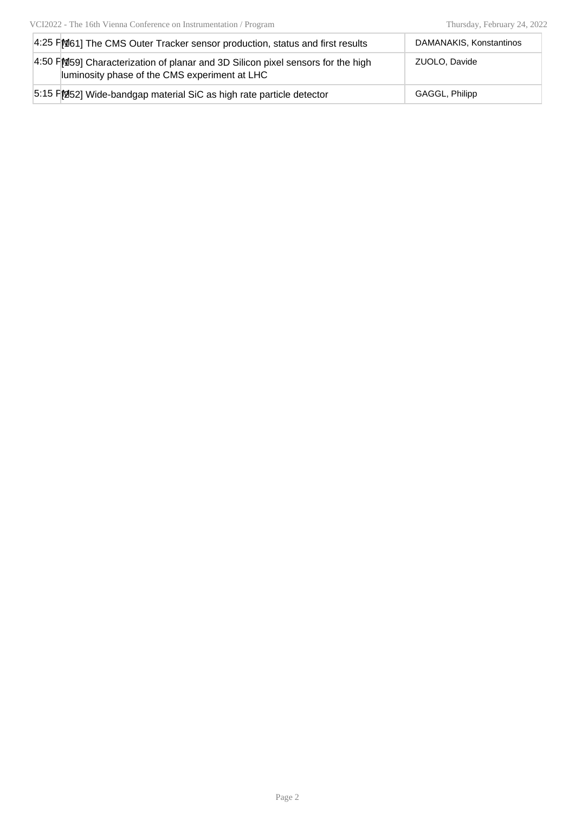| 4:25 FM61] The CMS Outer Tracker sensor production, status and first results                                                     | DAMANAKIS, Konstantinos |
|----------------------------------------------------------------------------------------------------------------------------------|-------------------------|
| 4:50 FM 59 Characterization of planar and 3D Silicon pixel sensors for the high<br>luminosity phase of the CMS experiment at LHC | ZUOLO, Davide           |
| 5:15 FM52] Wide-bandgap material SiC as high rate particle detector                                                              | GAGGL, Philipp          |